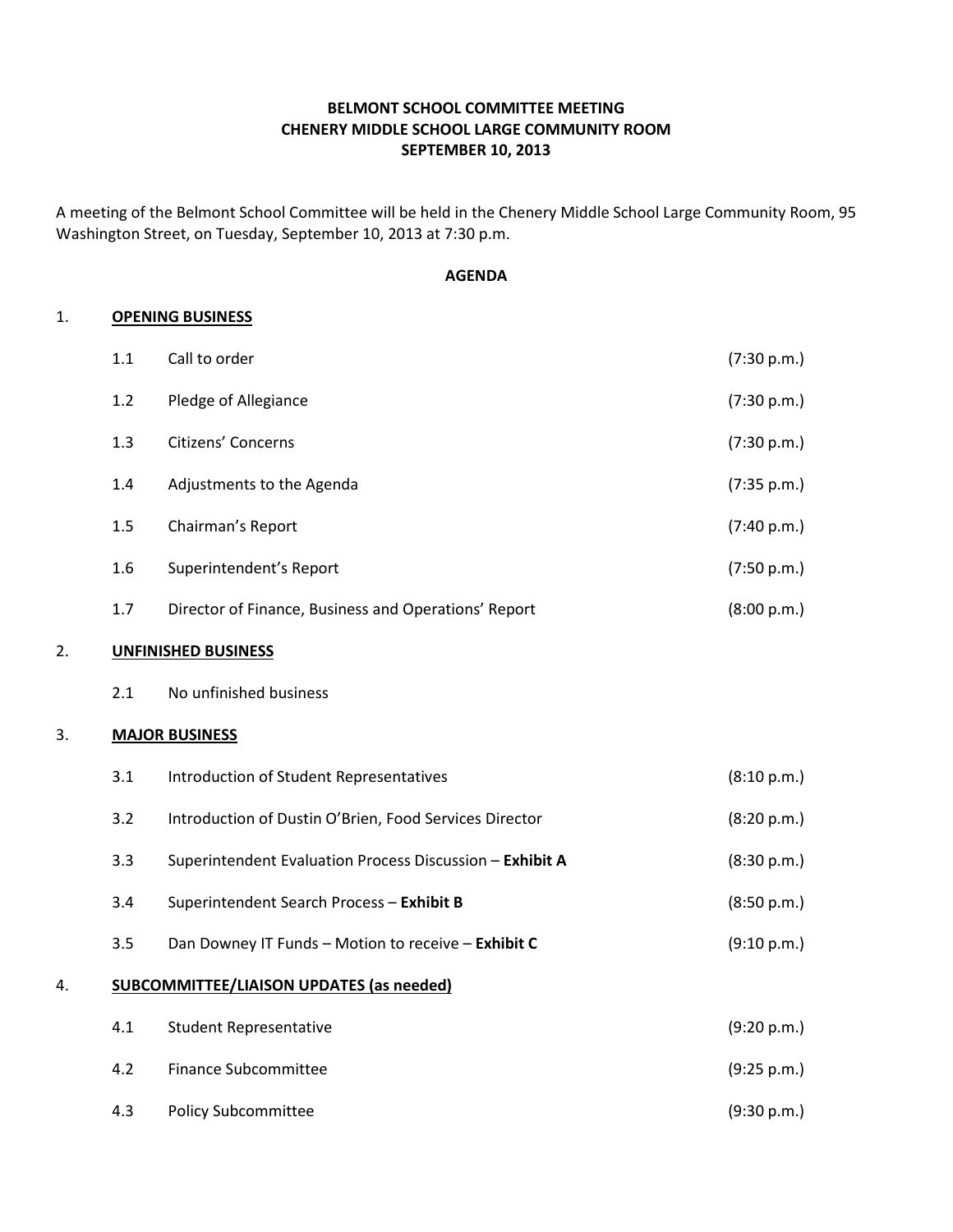### BELMONT SCHOOL COMMITTEE MEETING CHENERY MIDDLE SCHOOL LARGE COMMUNITY ROOM SEPTEMBER 10, 2013

A meeting of the Belmont School Committee will be held in the Chenery Middle School Large Community Room, 95 Washington Street, on Tuesday, September 10, 2013 at 7:30 p.m.

#### AGENDA

#### 1. OPENING BUSINESS

|    | 1.1     | Call to order                                            | (7:30 p.m.) |
|----|---------|----------------------------------------------------------|-------------|
|    | 1.2     | Pledge of Allegiance                                     | (7:30 p.m.) |
|    | 1.3     | Citizens' Concerns                                       | (7:30 p.m.) |
|    | 1.4     | Adjustments to the Agenda                                | (7:35 p.m.) |
|    | 1.5     | Chairman's Report                                        | (7:40 p.m.) |
|    | $1.6\,$ | Superintendent's Report                                  | (7:50 p.m.) |
|    | 1.7     | Director of Finance, Business and Operations' Report     | (8:00 p.m.) |
| 2. |         | <b>UNFINISHED BUSINESS</b>                               |             |
|    | 2.1     | No unfinished business                                   |             |
| 3. |         | <b>MAJOR BUSINESS</b>                                    |             |
|    | 3.1     | Introduction of Student Representatives                  | (8:10 p.m.) |
|    | 3.2     | Introduction of Dustin O'Brien, Food Services Director   | (8:20 p.m.) |
|    | 3.3     | Superintendent Evaluation Process Discussion - Exhibit A | (8:30 p.m.) |
|    | 3.4     | Superintendent Search Process - Exhibit B                | (8:50 p.m.) |
|    | 3.5     | Dan Downey IT Funds - Motion to receive - Exhibit C      | (9:10 p.m.) |
| 4. |         | <b>SUBCOMMITTEE/LIAISON UPDATES (as needed)</b>          |             |
|    | 4.1     | <b>Student Representative</b>                            | (9:20 p.m.) |
|    | 4.2     | <b>Finance Subcommittee</b>                              | (9:25 p.m.) |
|    | 4.3     | <b>Policy Subcommittee</b>                               | (9:30 p.m.) |